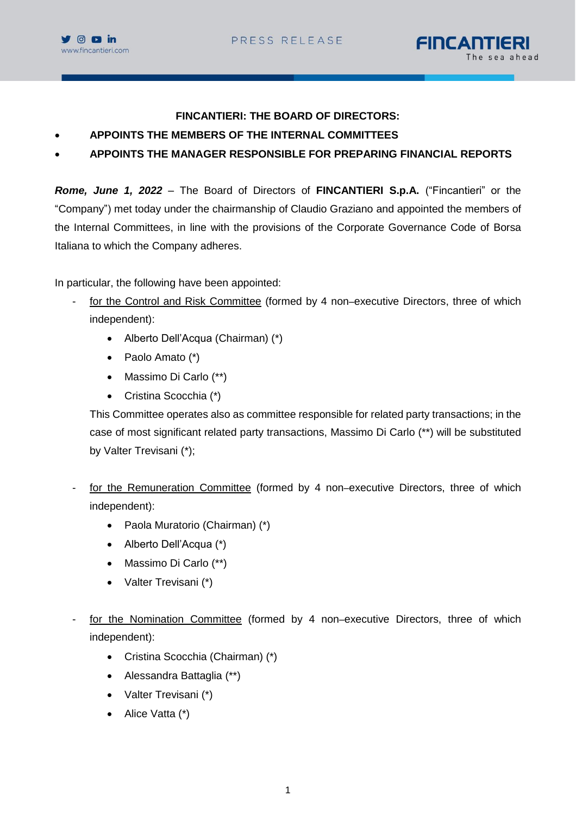



## **FINCANTIERI: THE BOARD OF DIRECTORS:**

- **APPOINTS THE MEMBERS OF THE INTERNAL COMMITTEES**
- **APPOINTS THE MANAGER RESPONSIBLE FOR PREPARING FINANCIAL REPORTS**

*Rome, June 1, 2022* – The Board of Directors of **FINCANTIERI S.p.A.** ("Fincantieri" or the "Company") met today under the chairmanship of Claudio Graziano and appointed the members of the Internal Committees, in line with the provisions of the Corporate Governance Code of Borsa Italiana to which the Company adheres.

In particular, the following have been appointed:

- for the Control and Risk Committee (formed by 4 non–executive Directors, three of which independent):
	- Alberto Dell'Acqua (Chairman) (\*)
	- Paolo Amato (\*)
	- Massimo Di Carlo (\*\*)
	- Cristina Scocchia (\*)

This Committee operates also as committee responsible for related party transactions; in the case of most significant related party transactions, Massimo Di Carlo (\*\*) will be substituted by Valter Trevisani (\*);

- for the Remuneration Committee (formed by 4 non–executive Directors, three of which independent):
	- Paola Muratorio (Chairman) (\*)
	- Alberto Dell'Acqua (\*)
	- Massimo Di Carlo (\*\*)
	- Valter Trevisani (\*)
- for the Nomination Committee (formed by 4 non–executive Directors, three of which independent):
	- Cristina Scocchia (Chairman) (\*)
	- Alessandra Battaglia (\*\*)
	- Valter Trevisani (\*)
	- Alice Vatta (\*)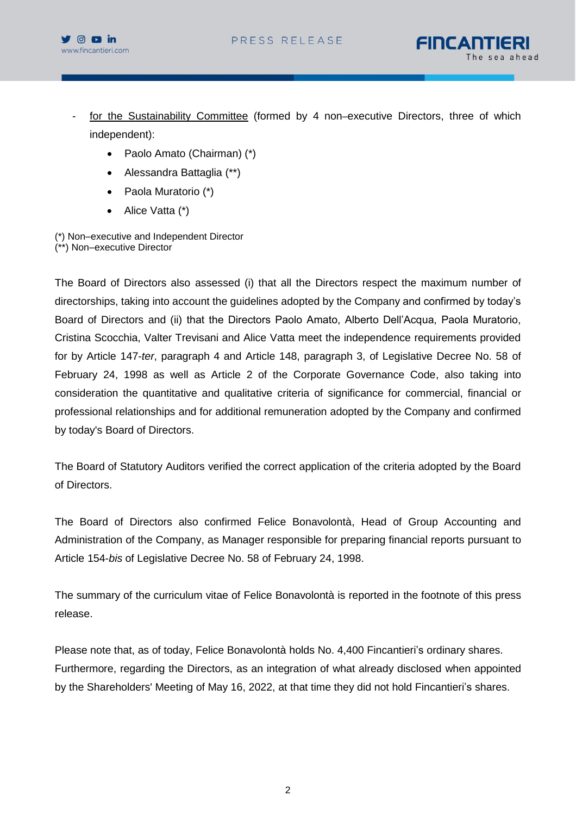



- for the Sustainability Committee (formed by 4 non–executive Directors, three of which independent):
	- Paolo Amato (Chairman) (\*)
	- Alessandra Battaglia (\*\*)
	- Paola Muratorio (\*)
	- Alice Vatta (\*)

(\*) Non–executive and Independent Director (\*\*) Non–executive Director

The Board of Directors also assessed (i) that all the Directors respect the maximum number of directorships, taking into account the guidelines adopted by the Company and confirmed by today's Board of Directors and (ii) that the Directors Paolo Amato, Alberto Dell'Acqua, Paola Muratorio, Cristina Scocchia, Valter Trevisani and Alice Vatta meet the independence requirements provided for by Article 147-*ter*, paragraph 4 and Article 148, paragraph 3, of Legislative Decree No. 58 of February 24, 1998 as well as Article 2 of the Corporate Governance Code, also taking into consideration the quantitative and qualitative criteria of significance for commercial, financial or professional relationships and for additional remuneration adopted by the Company and confirmed by today's Board of Directors.

The Board of Statutory Auditors verified the correct application of the criteria adopted by the Board of Directors.

The Board of Directors also confirmed Felice Bonavolontà, Head of Group Accounting and Administration of the Company, as Manager responsible for preparing financial reports pursuant to Article 154-*bis* of Legislative Decree No. 58 of February 24, 1998.

The summary of the curriculum vitae of Felice Bonavolontà is reported in the footnote of this press release.

Please note that, as of today, Felice Bonavolontà holds No. 4,400 Fincantieri's ordinary shares. Furthermore, regarding the Directors, as an integration of what already disclosed when appointed by the Shareholders' Meeting of May 16, 2022, at that time they did not hold Fincantieri's shares.